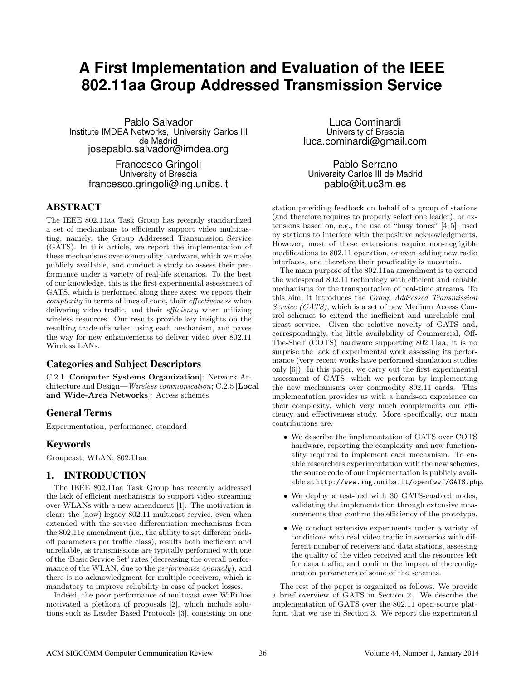# **A First Implementation and Evaluation of the IEEE 802.11aa Group Addressed Transmission Service**

Pablo Salvador Institute IMDEA Networks, University Carlos III de Madrid josepablo.salvador@imdea.org

> Francesco Gringoli University of Brescia francesco.gringoli@ing.unibs.it

## ABSTRACT

The IEEE 802.11aa Task Group has recently standardized a set of mechanisms to efficiently support video multicasting, namely, the Group Addressed Transmission Service (GATS). In this article, we report the implementation of these mechanisms over commodity hardware, which we make publicly available, and conduct a study to assess their performance under a variety of real-life scenarios. To the best of our knowledge, this is the first experimental assessment of GATS, which is performed along three axes: we report their complexity in terms of lines of code, their effectiveness when delivering video traffic, and their *efficiency* when utilizing wireless resources. Our results provide key insights on the resulting trade-offs when using each mechanism, and paves the way for new enhancements to deliver video over 802.11 Wireless LANs.

## Categories and Subject Descriptors

C.2.1 [Computer Systems Organization]: Network Architecture and Design—Wireless communication; C.2.5 [Local and Wide-Area Networks]: Access schemes

## General Terms

Experimentation, performance, standard

# Keywords

Groupcast; WLAN; 802.11aa

# 1. INTRODUCTION

The IEEE 802.11aa Task Group has recently addressed the lack of efficient mechanisms to support video streaming over WLANs with a new amendment [\[1\]](#page-5-0). The motivation is clear: the (now) legacy 802.11 multicast service, even when extended with the service differentiation mechanisms from the 802.11e amendment (i.e., the ability to set different backoff parameters per traffic class), results both inefficient and unreliable, as transmissions are typically performed with one of the 'Basic Service Set' rates (decreasing the overall performance of the WLAN, due to the *performance anomaly*), and there is no acknowledgment for multiple receivers, which is mandatory to improve reliability in case of packet losses.

Indeed, the poor performance of multicast over WiFi has motivated a plethora of proposals [\[2\]](#page-5-1), which include solutions such as Leader Based Protocols [\[3\]](#page-5-2), consisting on one

Luca Cominardi University of Brescia luca.cominardi@gmail.com

Pablo Serrano University Carlos III de Madrid pablo@it.uc3m.es

station providing feedback on behalf of a group of stations (and therefore requires to properly select one leader), or extensions based on, e.g., the use of "busy tones" [\[4,](#page-5-3) [5\]](#page-5-4), used by stations to interfere with the positive acknowledgments. However, most of these extensions require non-negligible modifications to 802.11 operation, or even adding new radio interfaces, and therefore their practicality is uncertain.

The main purpose of the 802.11aa amendment is to extend the widespread 802.11 technology with efficient and reliable mechanisms for the transportation of real-time streams. To this aim, it introduces the Group Addressed Transmission Service (GATS), which is a set of new Medium Access Control schemes to extend the inefficient and unreliable multicast service. Given the relative novelty of GATS and, correspondingly, the little availability of Commercial, Off-The-Shelf (COTS) hardware supporting 802.11aa, it is no surprise the lack of experimental work assessing its performance (very recent works have performed simulation studies only [\[6\]](#page-5-5)). In this paper, we carry out the first experimental assessment of GATS, which we perform by implementing the new mechanisms over commodity 802.11 cards. This implementation provides us with a hands-on experience on their complexity, which very much complements our efficiency and effectiveness study. More specifically, our main contributions are:

- We describe the implementation of GATS over COTS hardware, reporting the complexity and new functionality required to implement each mechanism. To enable researchers experimentation with the new schemes, the source code of our implementation is publicly available at <http://www.ing.unibs.it/openfwwf/GATS.php>.
- We deploy a test-bed with 30 GATS-enabled nodes, validating the implementation through extensive measurements that confirm the efficiency of the prototype.
- We conduct extensive experiments under a variety of conditions with real video traffic in scenarios with different number of receivers and data stations, assessing the quality of the video received and the resources left for data traffic, and confirm the impact of the configuration parameters of some of the schemes.

The rest of the paper is organized as follows. We provide a brief overview of GATS in Section [2.](#page-1-0) We describe the implementation of GATS over the 802.11 open-source platform that we use in Section [3.](#page-1-1) We report the experimental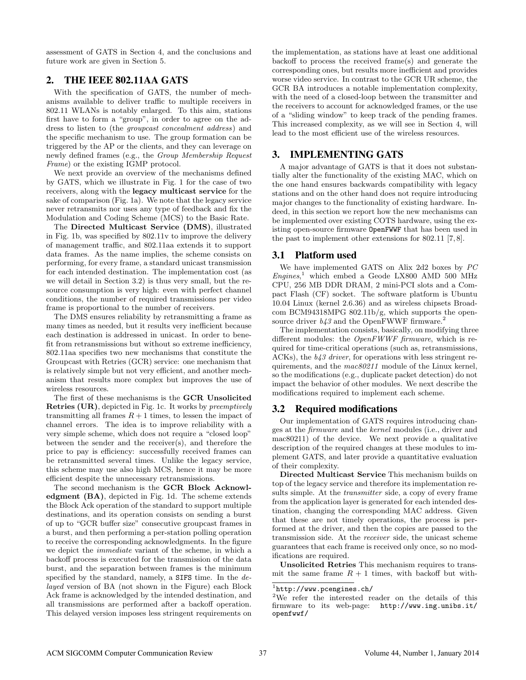assessment of GATS in Section [4,](#page-2-0) and the conclusions and future work are given in Section [5.](#page-5-6)

# <span id="page-1-0"></span>2. THE IEEE 802.11AA GATS

With the specification of GATS, the number of mechanisms available to deliver traffic to multiple receivers in 802.11 WLANs is notably enlarged. To this aim, stations first have to form a "group", in order to agree on the address to listen to (the groupcast concealment address) and the specific mechanism to use. The group formation can be triggered by the AP or the clients, and they can leverage on newly defined frames (e.g., the Group Membership Request Frame) or the existing IGMP protocol.

We next provide an overview of the mechanisms defined by GATS, which we illustrate in Fig. [1](#page-2-1) for the case of two receivers, along with the legacy multicast service for the sake of comparison (Fig. [1a](#page-2-1)). We note that the legacy service never retransmits nor uses any type of feedback and fix the Modulation and Coding Scheme (MCS) to the Basic Rate.

The Directed Multicast Service (DMS), illustrated in Fig. [1b](#page-2-1), was specified by 802.11v to improve the delivery of management traffic, and 802.11aa extends it to support data frames. As the name implies, the scheme consists on performing, for every frame, a standard unicast transmission for each intended destination. The implementation cost (as we will detail in Section [3.2\)](#page-1-2) is thus very small, but the resource consumption is very high: even with perfect channel conditions, the number of required transmissions per video frame is proportional to the number of receivers.

The DMS ensures reliability by retransmitting a frame as many times as needed, but it results very inefficient because each destination is addressed in unicast. In order to benefit from retransmissions but without so extreme inefficiency, 802.11aa specifies two new mechanisms that constitute the Groupcast with Retries (GCR) service: one mechanism that is relatively simple but not very efficient, and another mechanism that results more complex but improves the use of wireless resources.

The first of these mechanisms is the GCR Unsolicited Retries (UR), depicted in Fig. [1c](#page-2-1). It works by preemptively transmitting all frames  $R + 1$  times, to lessen the impact of channel errors. The idea is to improve reliability with a very simple scheme, which does not require a "closed loop" between the sender and the receiver(s), and therefore the price to pay is efficiency: successfully received frames can be retransmitted several times. Unlike the legacy service, this scheme may use also high MCS, hence it may be more efficient despite the unnecessary retransmissions.

The second mechanism is the GCR Block Acknowledgment (BA), depicted in Fig. [1d](#page-2-1). The scheme extends the Block Ack operation of the standard to support multiple destinations, and its operation consists on sending a burst of up to "GCR buffer size" consecutive groupcast frames in a burst, and then performing a per-station polling operation to receive the corresponding acknowledgments. In the figure we depict the immediate variant of the scheme, in which a backoff process is executed for the transmission of the data burst, and the separation between frames is the minimum specified by the standard, namely, a SIFS time. In the delayed version of BA (not shown in the Figure) each Block Ack frame is acknowledged by the intended destination, and all transmissions are performed after a backoff operation. This delayed version imposes less stringent requirements on

the implementation, as stations have at least one additional backoff to process the received frame(s) and generate the corresponding ones, but results more inefficient and provides worse video service. In contrast to the GCR UR scheme, the GCR BA introduces a notable implementation complexity, with the need of a closed-loop between the transmitter and the receivers to account for acknowledged frames, or the use of a "sliding window" to keep track of the pending frames. This increased complexity, as we will see in Section [4,](#page-2-0) will lead to the most efficient use of the wireless resources.

## <span id="page-1-1"></span>3. IMPLEMENTING GATS

A major advantage of GATS is that it does not substantially alter the functionality of the existing MAC, which on the one hand ensures backwards compatibility with legacy stations and on the other hand does not require introducing major changes to the functionality of existing hardware. Indeed, in this section we report how the new mechanisms can be implemented over existing COTS hardware, using the existing open-source firmware OpenFWWF that has been used in the past to implement other extensions for 802.11 [\[7,](#page-5-7) [8\]](#page-5-8).

#### 3.1 Platform used

We have implemented GATS on Alix 2d2 boxes by PC  $Engines$ <sup>[1](#page-1-3)</sup> which embed a Geode LX800 AMD 500 MHz CPU, 256 MB DDR DRAM, 2 mini-PCI slots and a Compact Flash (CF) socket. The software platform is Ubuntu 10.04 Linux (kernel 2.6.36) and as wireless chipsets Broadcom BCM94318MPG 802.11b/g, which supports the opensource driver  $b43$  and the OpenFWWF firmware.<sup>[2](#page-1-4)</sup>

The implementation consists, basically, on modifying three different modules: the OpenFWWF firmware, which is required for time-critical operations (such as, retransmissions, ACKs), the  $b43$  driver, for operations with less stringent requirements, and the mac80211 module of the Linux kernel, so the modifications (e.g., duplicate packet detection) do not impact the behavior of other modules. We next describe the modifications required to implement each scheme.

#### <span id="page-1-2"></span>3.2 Required modifications

Our implementation of GATS requires introducing changes at the firmware and the kernel modules (i.e., driver and mac80211) of the device. We next provide a qualitative description of the required changes at these modules to implement GATS, and later provide a quantitative evaluation of their complexity.

Directed Multicast Service This mechanism builds on top of the legacy service and therefore its implementation results simple. At the *transmitter* side, a copy of every frame from the application layer is generated for each intended destination, changing the corresponding MAC address. Given that these are not timely operations, the process is performed at the driver, and then the copies are passed to the transmission side. At the receiver side, the unicast scheme guarantees that each frame is received only once, so no modifications are required.

Unsolicited Retries This mechanism requires to transmit the same frame  $R + 1$  times, with backoff but with-

<span id="page-1-3"></span><sup>1</sup> <http://www.pcengines.ch/>

<span id="page-1-4"></span><sup>2</sup>We refer the interested reader on the details of this firmware to its web-page: [http://www.ing.unibs.it/](http://www.ing.unibs.it/openfwwf/) [openfwwf/](http://www.ing.unibs.it/openfwwf/)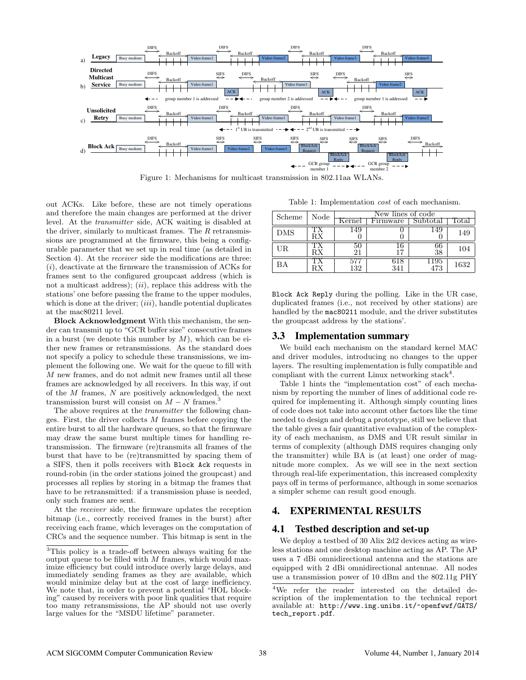<span id="page-2-1"></span>

Figure 1: Mechanisms for multicast transmission in 802.11aa WLANs.

out ACKs. Like before, these are not timely operations and therefore the main changes are performed at the driver level. At the transmitter side, ACK waiting is disabled at the driver, similarly to multicast frames. The  $R$  retransmissions are programmed at the firmware, this being a configurable parameter that we set up in real time (as detailed in Section [4\)](#page-2-0). At the *receiver* side the modifications are three:  $(i)$ , deactivate at the firmware the transmission of ACKs for frames sent to the configured groupcast address (which is not a multicast address);  $(ii)$ , replace this address with the stations' one before passing the frame to the upper modules, which is done at the driver;  $(iii)$ , handle potential duplicates at the mac80211 level.

Block Acknowledgment With this mechanism, the sender can transmit up to "GCR buffer size" consecutive frames in a burst (we denote this number by  $M$ ), which can be either new frames or retransmissions. As the standard does not specify a policy to schedule these transmissions, we implement the following one. We wait for the queue to fill with M new frames, and do not admit new frames until all these frames are acknowledged by all receivers. In this way, if out of the  $M$  frames,  $N$  are positively acknowledged, the next transmission burst will consist on  $M - N$  frames.<sup>[3](#page-2-2)</sup>

The above requires at the *transmitter* the following changes. First, the driver collects  $M$  frames before copying the entire burst to all the hardware queues, so that the firmware may draw the same burst multiple times for handling retransmission. The firmware (re)transmits all frames of the burst that have to be (re)transmitted by spacing them of a SIFS, then it polls receivers with Block Ack requests in round-robin (in the order stations joined the groupcast) and processes all replies by storing in a bitmap the frames that have to be retransmitted: if a transmission phase is needed, only such frames are sent.

At the receiver side, the firmware updates the reception bitmap (i.e., correctly received frames in the burst) after receiving each frame, which leverages on the computation of CRCs and the sequence number. This bitmap is sent in the

Table 1: Implementation cost of each mechanism.

<span id="page-2-4"></span>

| Scheme     | Node | New lines of code |          |             |       |
|------------|------|-------------------|----------|-------------|-------|
|            |      | Kernel            | Firmware | Subtotal    | Total |
| <b>DMS</b> | RХ   |                   |          | 14.9        | 149   |
| UR         | RХ   |                   |          |             | 104   |
| ВA         |      | 132               | 341      | -195<br>473 | 1632  |

Block Ack Reply during the polling. Like in the UR case, duplicated frames (i.e., not received by other stations) are handled by the mac80211 module, and the driver substitutes the groupcast address by the stations'.

#### 3.3 Implementation summary

We build each mechanism on the standard kernel MAC and driver modules, introducing no changes to the upper layers. The resulting implementation is fully compatible and compliant with the current Linux networking stack<sup>[4](#page-2-3)</sup>.

Table [1](#page-2-4) hints the "implementation cost" of each mechanism by reporting the number of lines of additional code required for implementing it. Although simply counting lines of code does not take into account other factors like the time needed to design and debug a prototype, still we believe that the table gives a fair quantitative evaluation of the complexity of each mechanism, as DMS and UR result similar in terms of complexity (although DMS requires changing only the transmitter) while BA is (at least) one order of magnitude more complex. As we will see in the next section through real-life experimentation, this increased complexity pays off in terms of performance, although in some scenarios a simpler scheme can result good enough.

## <span id="page-2-0"></span>4. EXPERIMENTAL RESULTS

## 4.1 Testbed description and set-up

We deploy a testbed of 30 Alix 2d2 devices acting as wireless stations and one desktop machine acting as AP. The AP uses a 7 dBi omnidirectional antenna and the stations are equipped with 2 dBi omnidirectional antennae. All nodes use a transmission power of 10 dBm and the 802.11g PHY

<span id="page-2-2"></span><sup>3</sup>This policy is a trade-off between always waiting for the output queue to be filled with  $M$  frames, which would maximize efficiency but could introduce overly large delays, and immediately sending frames as they are available, which would minimize delay but at the cost of large inefficiency. We note that, in order to prevent a potential "HOL blocking" caused by receivers with poor link qualities that require too many retransmissions, the AP should not use overly large values for the "MSDU lifetime" parameter.

<span id="page-2-3"></span><sup>4</sup>We refer the reader interested on the detailed description of the implementation to the technical report available at: [http://www.ing.unibs.it/~openfwwf/GATS/](http://www.ing.unibs.it/~openfwwf/GATS/tech_report.pdf) [tech\\_report.pdf](http://www.ing.unibs.it/~openfwwf/GATS/tech_report.pdf).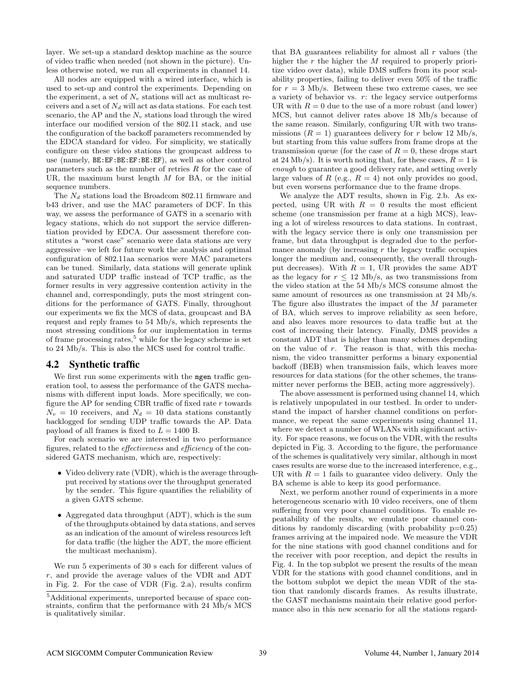layer. We set-up a standard desktop machine as the source of video traffic when needed (not shown in the picture). Unless otherwise noted, we run all experiments in channel 14.

All nodes are equipped with a wired interface, which is used to set-up and control the experiments. Depending on the experiment, a set of  $N_v$  stations will act as multicast receivers and a set of  $N_d$  will act as data stations. For each test scenario, the AP and the  $N_v$  stations load through the wired interface our modified version of the 802.11 stack, and use the configuration of the backoff parameters recommended by the EDCA standard for video. For simplicity, we statically configure on these video stations the groupcast address to use (namely, BE:EF:BE:EF:BE:EF), as well as other control parameters such as the number of retries  $R$  for the case of UR, the maximum burst length  $M$  for BA, or the initial sequence numbers.

The  $N_d$  stations load the Broadcom 802.11 firmware and b43 driver, and use the MAC parameters of DCF. In this way, we assess the performance of GATS in a scenario with legacy stations, which do not support the service differentiation provided by EDCA. Our assessment therefore constitutes a "worst case" scenario were data stations are very aggressive –we left for future work the analysis and optimal configuration of 802.11aa scenarios were MAC parameters can be tuned. Similarly, data stations will generate uplink and saturated UDP traffic instead of TCP traffic, as the former results in very aggressive contention activity in the channel and, correspondingly, puts the most stringent conditions for the performance of GATS. Finally, throughout our experiments we fix the MCS of data, groupcast and BA request and reply frames to 54 Mb/s, which represents the most stressing conditions for our implementation in terms of frame processing rates, $5$  while for the legacy scheme is set to 24 Mb/s. This is also the MCS used for control traffic.

#### 4.2 Synthetic traffic

We first run some experiments with the mgen traffic generation tool, to assess the performance of the GATS mechanisms with different input loads. More specifically, we configure the AP for sending CBR traffic of fixed rate  $r$  towards  $N_v = 10$  receivers, and  $N_d = 10$  data stations constantly backlogged for sending UDP traffic towards the AP. Data payload of all frames is fixed to  $L = 1400$  B.

For each scenario we are interested in two performance figures, related to the effectiveness and efficiency of the considered GATS mechanism, which are, respectively:

- Video delivery rate (VDR), which is the average throughput received by stations over the throughput generated by the sender. This figure quantifies the reliability of a given GATS scheme.
- Aggregated data throughput (ADT), which is the sum of the throughputs obtained by data stations, and serves as an indication of the amount of wireless resources left for data traffic (the higher the ADT, the more efficient the multicast mechanism).

We run 5 experiments of 30 s each for different values of r, and provide the average values of the VDR and ADT in Fig. [2.](#page-4-0) For the case of VDR (Fig. [2.](#page-4-0)a), results confirm that BA guarantees reliability for almost all  $r$  values (the higher the  $r$  the higher the  $M$  required to properly prioritize video over data), while DMS suffers from its poor scalability properties, failing to deliver even 50% of the traffic for  $r = 3$  Mb/s. Between these two extreme cases, we see a variety of behavior vs. r: the legacy service outperforms UR with  $R = 0$  due to the use of a more robust (and lower) MCS, but cannot deliver rates above 18 Mb/s because of the same reason. Similarly, configuring UR with two transmissions  $(R = 1)$  guarantees delivery for r below 12 Mb/s, but starting from this value suffers from frame drops at the transmission queue (for the case of  $R = 0$ , these drops start at 24 Mb/s). It is worth noting that, for these cases,  $R = 1$  is enough to guarantee a good delivery rate, and setting overly large values of  $R$  (e.g.,  $R = 4$ ) not only provides no good, but even worsens performance due to the frame drops.

We analyze the ADT results, shown in Fig. [2.](#page-4-0)b. As expected, using UR with  $R = 0$  results the most efficient scheme (one transmission per frame at a high MCS), leaving a lot of wireless resources to data stations. In contrast, with the legacy service there is only one transmission per frame, but data throughput is degraded due to the performance anomaly (by increasing  $r$  the legacy traffic occupies longer the medium and, consequently, the overall throughput decreases). With  $R = 1$ , UR provides the same ADT as the legacy for  $r \leq 12$  Mb/s, as two transmissions from the video station at the 54 Mb/s MCS consume almost the same amount of resources as one transmission at 24 Mb/s. The figure also illustrates the impact of the M parameter of BA, which serves to improve reliability as seen before, and also leaves more resources to data traffic but at the cost of increasing their latency. Finally, DMS provides a constant ADT that is higher than many schemes depending on the value of r. The reason is that, with this mechanism, the video transmitter performs a binary exponential backoff (BEB) when transmission fails, which leaves more resources for data stations (for the other schemes, the transmitter never performs the BEB, acting more aggressively).

The above assessment is performed using channel 14, which is relatively unpopulated in our testbed. In order to understand the impact of harsher channel conditions on performance, we repeat the same experiments using channel 11, where we detect a number of WLANs with significant activity. For space reasons, we focus on the VDR, with the results depicted in Fig. [3.](#page-4-1) According to the figure, the performance of the schemes is qualitatively very similar, although in most cases results are worse due to the increased interference, e.g., UR with  $R = 1$  fails to guarantee video delivery. Only the BA scheme is able to keep its good performance.

Next, we perform another round of experiments in a more heterogeneous scenario with 10 video receivers, one of them suffering from very poor channel conditions. To enable repeatability of the results, we emulate poor channel conditions by randomly discarding (with probability  $p=0.25$ ) frames arriving at the impaired node. We measure the VDR for the nine stations with good channel conditions and for the receiver with poor reception, and depict the results in Fig. [4.](#page-4-2) In the top subplot we present the results of the mean VDR for the stations with good channel conditions, and in the bottom subplot we depict the mean VDR of the station that randomly discards frames. As results illustrate, the GAST mechanisms maintain their relative good performance also in this new scenario for all the stations regard-

<span id="page-3-0"></span><sup>&</sup>lt;sup>5</sup>Additional experiments, unreported because of space constraints, confirm that the performance with 24 Mb/s MCS is qualitatively similar.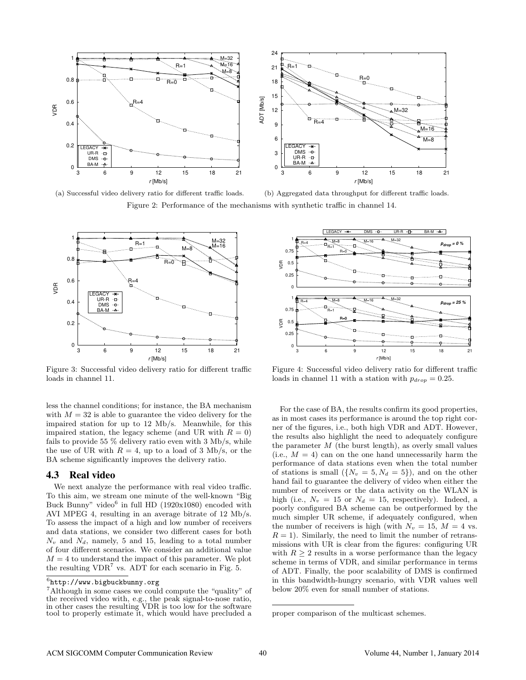<span id="page-4-0"></span>

(a) Successful video delivery ratio for different traffic loads.

(b) Aggregated data throughput for different traffic loads. Figure 2: Performance of the mechanisms with synthetic traffic in channel 14.

<span id="page-4-1"></span>

Figure 3: Successful video delivery ratio for different traffic loads in channel 11.

less the channel conditions; for instance, the BA mechanism with  $M = 32$  is able to guarantee the video delivery for the impaired station for up to 12 Mb/s. Meanwhile, for this impaired station, the legacy scheme (and UR with  $R = 0$ ) fails to provide 55 % delivery ratio even with 3 Mb/s, while the use of UR with  $R = 4$ , up to a load of 3 Mb/s, or the BA scheme significantly improves the delivery ratio.

#### 4.3 Real video

We next analyze the performance with real video traffic. To this aim, we stream one minute of the well-known "Big Buck Bunny" video<sup>[6](#page-4-3)</sup> in full HD (1920x1080) encoded with AVI MPEG 4, resulting in an average bitrate of 12 Mb/s. To assess the impact of a high and low number of receivers and data stations, we consider two different cases for both  $N_v$  and  $N_d$ , namely, 5 and 15, leading to a total number of four different scenarios. We consider an additional value  $M = 4$  to understand the impact of this parameter. We plot the resulting  $VDR<sup>7</sup>$  $VDR<sup>7</sup>$  $VDR<sup>7</sup>$  vs. ADT for each scenario in Fig. [5.](#page-5-9)

<span id="page-4-2"></span>

Figure 4: Successful video delivery ratio for different traffic loads in channel 11 with a station with  $p_{drop} = 0.25$ .

For the case of BA, the results confirm its good properties, as in most cases its performance is around the top right corner of the figures, i.e., both high VDR and ADT. However, the results also highlight the need to adequately configure the parameter  $M$  (the burst length), as overly small values (i.e.,  $M = 4$ ) can on the one hand unnecessarily harm the performance of data stations even when the total number of stations is small  $({N_y = 5, N_d = 5})$ , and on the other hand fail to guarantee the delivery of video when either the number of receivers or the data activity on the WLAN is high (i.e.,  $N_v = 15$  or  $N_d = 15$ , respectively). Indeed, a poorly configured BA scheme can be outperformed by the much simpler UR scheme, if adequately configured, when the number of receivers is high (with  $N_v = 15$ ,  $M = 4$  vs.  $R = 1$ . Similarly, the need to limit the number of retransmissions with UR is clear from the figures: configuring UR with  $R > 2$  results in a worse performance than the legacy scheme in terms of VDR, and similar performance in terms of ADT. Finally, the poor scalability of DMS is confirmed in this bandwidth-hungry scenario, with VDR values well below 20% even for small number of stations.

<span id="page-4-3"></span> $^6$ <http://www.bigbuckbunny.org>

<span id="page-4-4"></span><sup>&</sup>lt;sup>7</sup>Although in some cases we could compute the "quality" of the received video with, e.g., the peak signal-to-nose ratio, in other cases the resulting VDR is too low for the software tool to properly estimate it, which would have precluded a

proper comparison of the multicast schemes.